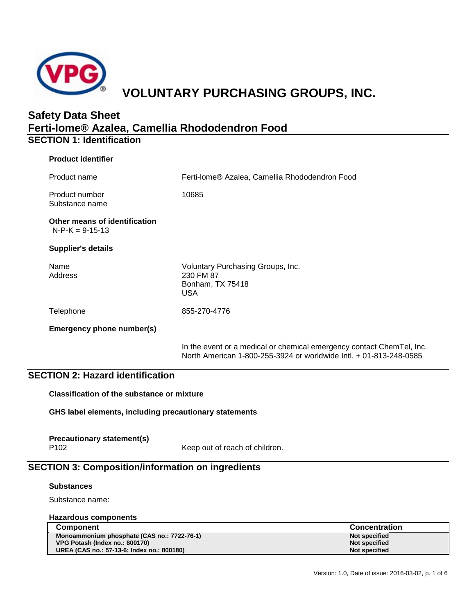

# **VOLUNTARY PURCHASING GROUPS, INC.**

# **Safety Data Sheet Ferti-lome® Azalea, Camellia Rhododendron Food SECTION 1: Identification**

| <b>Product identifier</b>                          |                                                                                                                                             |
|----------------------------------------------------|---------------------------------------------------------------------------------------------------------------------------------------------|
| Product name                                       | Ferti-lome® Azalea, Camellia Rhododendron Food                                                                                              |
| Product number<br>Substance name                   | 10685                                                                                                                                       |
| Other means of identification<br>$N-P-K = 9-15-13$ |                                                                                                                                             |
| <b>Supplier's details</b>                          |                                                                                                                                             |
| Name<br>Address                                    | Voluntary Purchasing Groups, Inc.<br>230 FM 87<br>Bonham, TX 75418<br><b>USA</b>                                                            |
| Telephone                                          | 855-270-4776                                                                                                                                |
| Emergency phone number(s)                          |                                                                                                                                             |
|                                                    | In the event or a medical or chemical emergency contact ChemTel, Inc.<br>North American 1-800-255-3924 or worldwide Intl. + 01-813-248-0585 |

# **SECTION 2: Hazard identification**

**Classification of the substance or mixture**

**GHS label elements, including precautionary statements**

**Precautionary statement(s)**

Keep out of reach of children.

# **SECTION 3: Composition/information on ingredients**

### **Substances**

Substance name:

### **Hazardous components**

| <b>Component</b>                            | <b>Concentration</b> |
|---------------------------------------------|----------------------|
| Monoammonium phosphate (CAS no.: 7722-76-1) | Not specified        |
| VPG Potash (Index no.: 800170)              | <b>Not specified</b> |
| UREA (CAS no.: 57-13-6; Index no.: 800180)  | <b>Not specified</b> |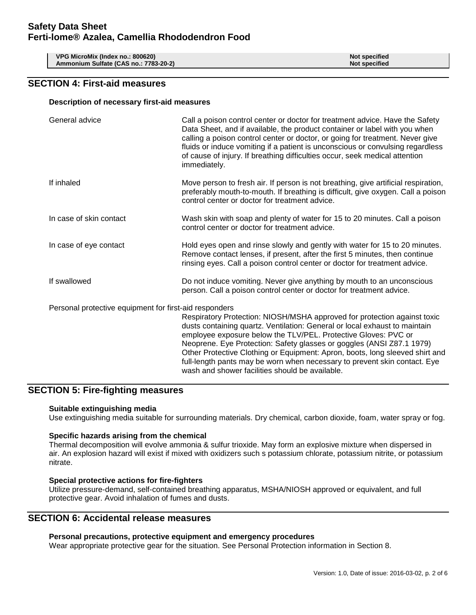**VPG MicroMix (Index no.: 800620) Not specified** Ammonium Sulfate (CAS no.: 7783-20-2)

### **SECTION 4: First-aid measures**

### **Description of necessary first-aid measures**

| General advice                                         | Call a poison control center or doctor for treatment advice. Have the Safety<br>Data Sheet, and if available, the product container or label with you when<br>calling a poison control center or doctor, or going for treatment. Never give<br>fluids or induce vomiting if a patient is unconscious or convulsing regardless<br>of cause of injury. If breathing difficulties occur, seek medical attention<br>immediately.                                                                                      |
|--------------------------------------------------------|-------------------------------------------------------------------------------------------------------------------------------------------------------------------------------------------------------------------------------------------------------------------------------------------------------------------------------------------------------------------------------------------------------------------------------------------------------------------------------------------------------------------|
| If inhaled                                             | Move person to fresh air. If person is not breathing, give artificial respiration,<br>preferably mouth-to-mouth. If breathing is difficult, give oxygen. Call a poison<br>control center or doctor for treatment advice.                                                                                                                                                                                                                                                                                          |
| In case of skin contact                                | Wash skin with soap and plenty of water for 15 to 20 minutes. Call a poison<br>control center or doctor for treatment advice.                                                                                                                                                                                                                                                                                                                                                                                     |
| In case of eye contact                                 | Hold eyes open and rinse slowly and gently with water for 15 to 20 minutes.<br>Remove contact lenses, if present, after the first 5 minutes, then continue<br>rinsing eyes. Call a poison control center or doctor for treatment advice.                                                                                                                                                                                                                                                                          |
| If swallowed                                           | Do not induce vomiting. Never give anything by mouth to an unconscious<br>person. Call a poison control center or doctor for treatment advice.                                                                                                                                                                                                                                                                                                                                                                    |
| Personal protective equipment for first-aid responders | Respiratory Protection: NIOSH/MSHA approved for protection against toxic<br>dusts containing quartz. Ventilation: General or local exhaust to maintain<br>employee exposure below the TLV/PEL. Protective Gloves: PVC or<br>Neoprene. Eye Protection: Safety glasses or goggles (ANSI Z87.1 1979)<br>Other Protective Clothing or Equipment: Apron, boots, long sleeved shirt and<br>full-length pants may be worn when necessary to prevent skin contact. Eye<br>wash and shower facilities should be available. |

### **SECTION 5: Fire-fighting measures**

### **Suitable extinguishing media**

Use extinguishing media suitable for surrounding materials. Dry chemical, carbon dioxide, foam, water spray or fog.

### **Specific hazards arising from the chemical**

Thermal decomposition will evolve ammonia & sulfur trioxide. May form an explosive mixture when dispersed in air. An explosion hazard will exist if mixed with oxidizers such s potassium chlorate, potassium nitrite, or potassium nitrate.

### **Special protective actions for fire-fighters**

Utilize pressure-demand, self-contained breathing apparatus, MSHA/NIOSH approved or equivalent, and full protective gear. Avoid inhalation of fumes and dusts.

### **SECTION 6: Accidental release measures**

### **Personal precautions, protective equipment and emergency procedures**

Wear appropriate protective gear for the situation. See Personal Protection information in Section 8.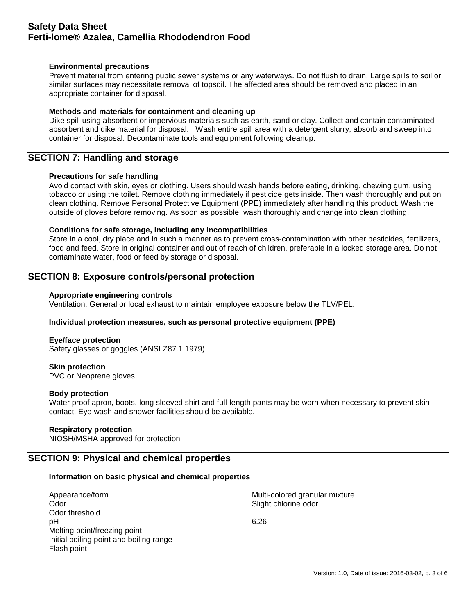### **Environmental precautions**

Prevent material from entering public sewer systems or any waterways. Do not flush to drain. Large spills to soil or similar surfaces may necessitate removal of topsoil. The affected area should be removed and placed in an appropriate container for disposal.

### **Methods and materials for containment and cleaning up**

Dike spill using absorbent or impervious materials such as earth, sand or clay. Collect and contain contaminated absorbent and dike material for disposal. Wash entire spill area with a detergent slurry, absorb and sweep into container for disposal. Decontaminate tools and equipment following cleanup.

### **SECTION 7: Handling and storage**

### **Precautions for safe handling**

Avoid contact with skin, eyes or clothing. Users should wash hands before eating, drinking, chewing gum, using tobacco or using the toilet. Remove clothing immediately if pesticide gets inside. Then wash thoroughly and put on clean clothing. Remove Personal Protective Equipment (PPE) immediately after handling this product. Wash the outside of gloves before removing. As soon as possible, wash thoroughly and change into clean clothing.

### **Conditions for safe storage, including any incompatibilities**

Store in a cool, dry place and in such a manner as to prevent cross-contamination with other pesticides, fertilizers, food and feed. Store in original container and out of reach of children, preferable in a locked storage area. Do not contaminate water, food or feed by storage or disposal.

### **SECTION 8: Exposure controls/personal protection**

### **Appropriate engineering controls**

Ventilation: General or local exhaust to maintain employee exposure below the TLV/PEL.

### **Individual protection measures, such as personal protective equipment (PPE)**

#### **Eye/face protection** Safety glasses or goggles (ANSI Z87.1 1979)

**Skin protection** PVC or Neoprene gloves

### **Body protection**

Water proof apron, boots, long sleeved shirt and full-length pants may be worn when necessary to prevent skin contact. Eye wash and shower facilities should be available.

### **Respiratory protection**

NIOSH/MSHA approved for protection

# **SECTION 9: Physical and chemical properties**

### **Information on basic physical and chemical properties**

| Appearance/form                         | Multi-colored granular mixture |
|-----------------------------------------|--------------------------------|
| Odor                                    | Slight chlorine odor           |
| Odor threshold                          |                                |
| рH                                      | 6.26                           |
| Melting point/freezing point            |                                |
| Initial boiling point and boiling range |                                |
| Flash point                             |                                |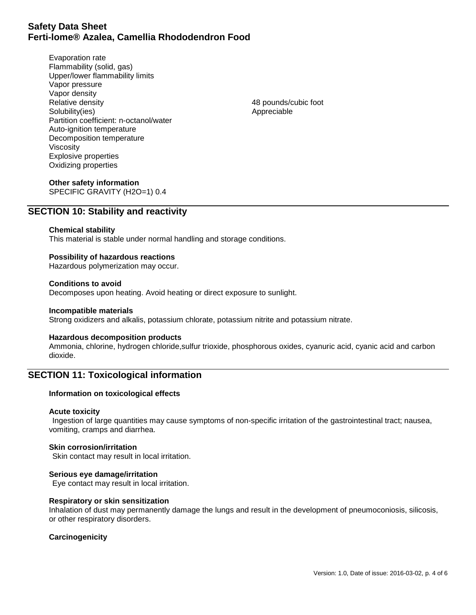Evaporation rate Flammability (solid, gas) Upper/lower flammability limits Vapor pressure Vapor density<br>Relative densitv Solubility(ies) Partition coefficient: n-octanol/water Auto-ignition temperature Decomposition temperature Viscosity Explosive properties Oxidizing properties

48 pounds/cubic foot<br>Appreciable

### **Other safety information** SPECIFIC GRAVITY (H2O=1) 0.4

# **SECTION 10: Stability and reactivity**

### **Chemical stability**

This material is stable under normal handling and storage conditions.

### **Possibility of hazardous reactions**

Hazardous polymerization may occur.

### **Conditions to avoid**

Decomposes upon heating. Avoid heating or direct exposure to sunlight.

### **Incompatible materials**

Strong oxidizers and alkalis, potassium chlorate, potassium nitrite and potassium nitrate.

### **Hazardous decomposition products**

Ammonia, chlorine, hydrogen chloride,sulfur trioxide, phosphorous oxides, cyanuric acid, cyanic acid and carbon dioxide.

# **SECTION 11: Toxicological information**

### **Information on toxicological effects**

### **Acute toxicity**

Ingestion of large quantities may cause symptoms of non-specific irritation of the gastrointestinal tract; nausea, vomiting, cramps and diarrhea.

### **Skin corrosion/irritation**

Skin contact may result in local irritation.

### **Serious eye damage/irritation**

Eye contact may result in local irritation.

### **Respiratory or skin sensitization**

Inhalation of dust may permanently damage the lungs and result in the development of pneumoconiosis, silicosis, or other respiratory disorders.

### **Carcinogenicity**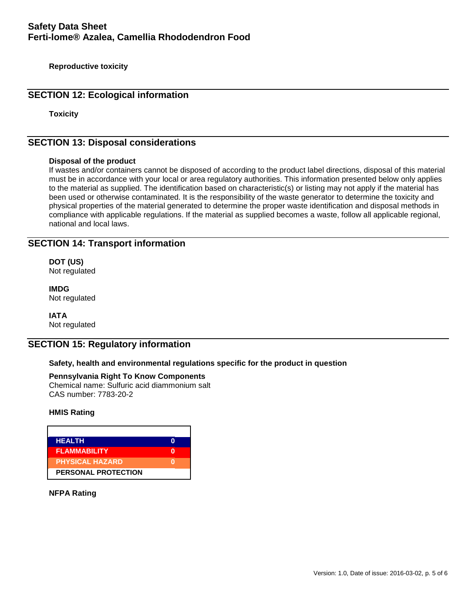**Reproductive toxicity**

### **SECTION 12: Ecological information**

**Toxicity**

### **SECTION 13: Disposal considerations**

### **Disposal of the product**

If wastes and/or containers cannot be disposed of according to the product label directions, disposal of this material must be in accordance with your local or area regulatory authorities. This information presented below only applies to the material as supplied. The identification based on characteristic(s) or listing may not apply if the material has been used or otherwise contaminated. It is the responsibility of the waste generator to determine the toxicity and physical properties of the material generated to determine the proper waste identification and disposal methods in compliance with applicable regulations. If the material as supplied becomes a waste, follow all applicable regional, national and local laws.

### **SECTION 14: Transport information**

**DOT (US)** Not regulated

**IMDG** Not regulated

**IATA** Not regulated

# **SECTION 15: Regulatory information**

### **Safety, health and environmental regulations specific for the product in question**

### **Pennsylvania Right To Know Components**

Chemical name: Sulfuric acid diammonium salt CAS number: 7783-20-2

### **HMIS Rating**



**NFPA Rating**